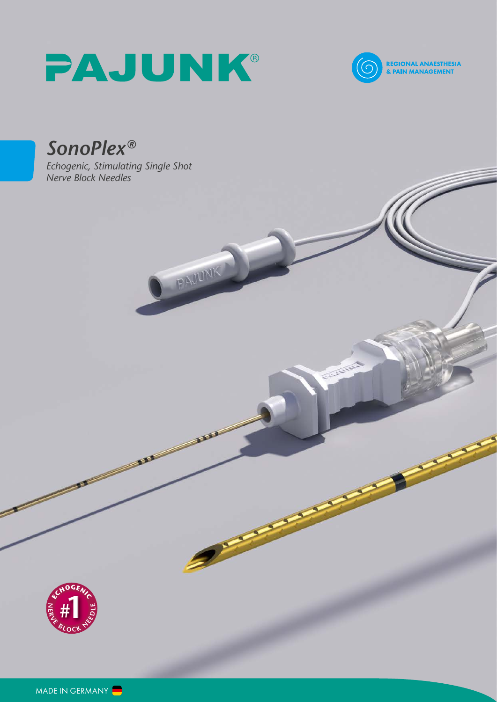# PAJUNK®

PAULIK



Charles

# *SonoPlex®*

*Echogenic, Stimulating Single Shot Nerve Block Needles*

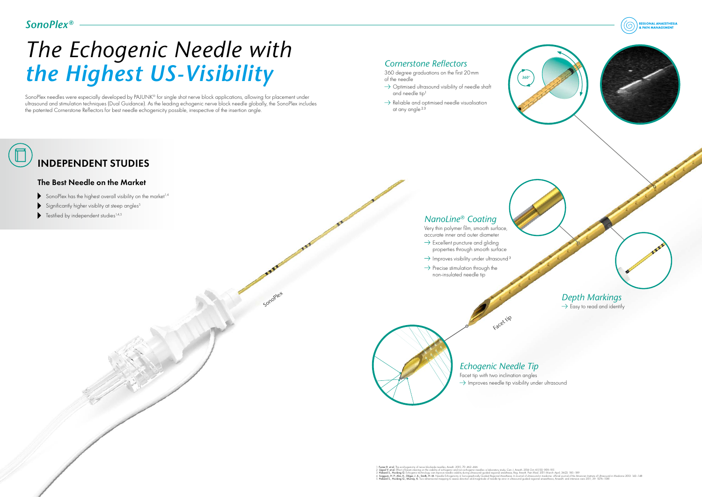# INDEPENDENT STUDIES

### The Best Needle on the Market

- SonoPlex has the highest overall visibility on the market<sup>1,4</sup>
- Significantly higher visiblity at steep angles<sup>5</sup>
- $\blacktriangleright$  Testified by independent studies<sup>1,4,5</sup>

# *The Echogenic Needle with the Highest US-Visibility*

SonoPlex needles were especially developed by PAJUNK® for single shot nerve block applications, allowing for placement under ultrasound and stimulation techniques (Dual Guidance). As the leading echogenic nerve block needle globally, the SonoPlex includes the patented Cornerstone Reflectors for best needle echogenicity possible, irrespective of the insertion angle.

> 1. Fuzier R. et al. The ecohogenicity of nerve blockade needles, Anesth. 2015; 70: 462–466 2. **Uppal V. et al**. Effect of beam steering on the visibility of echogenic and non-echogenic needles: a laboratory study, Can. J. Anesth. 2014 Oct; 61 (10): 909–915<br>3. **Hebard S., Hocking G.** Echogenic technology can impr 4. Sviggun, H. P., Ahn, K.; Dilger, J. A.; Smih, H. M. Needle Echogenicity in Sonorgrophically Guided Regional Anesthesia. In Journal of ultrasound in medicine: official in Medicine 2013: 143–148<br>5. Hebard S., Hocking G.,

Sonoplet

- 360 degree graduations on the first 20mm of the needle
- $\rightarrow$  Optimised ultrasound visibility of needle shaft and needle tip<sup>1</sup>
- $\rightarrow$  Reliable and optimised needle visualisation at any angle 2,3

- $\rightarrow$  Excellent puncture and gliding properties through smooth surface
- $\rightarrow$  Improves visibility under ultrasound<sup>3</sup>
- $\rightarrow$  Precise stimulation through the non-insulated needle tip

Facet tip with two inclination angles  $\rightarrow$  Improves needle tip visibility under ultrasound

Very thin polymer film, smooth surface, accurate inner and outer diameter



Facet tip

## *Echogenic Needle Tip*

### *Cornerstone Reflectors*

## *NanoLine® Coating*

# *SonoPlex®*